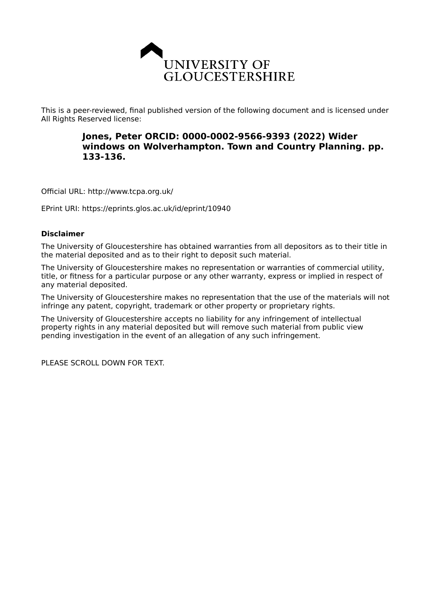

This is a peer-reviewed, final published version of the following document and is licensed under All Rights Reserved license:

# **Jones, Peter ORCID: 0000-0002-9566-9393 (2022) Wider windows on Wolverhampton. Town and Country Planning. pp. 133-136.**

Official URL: http://www.tcpa.org.uk/

EPrint URI: https://eprints.glos.ac.uk/id/eprint/10940

# **Disclaimer**

The University of Gloucestershire has obtained warranties from all depositors as to their title in the material deposited and as to their right to deposit such material.

The University of Gloucestershire makes no representation or warranties of commercial utility, title, or fitness for a particular purpose or any other warranty, express or implied in respect of any material deposited.

The University of Gloucestershire makes no representation that the use of the materials will not infringe any patent, copyright, trademark or other property or proprietary rights.

The University of Gloucestershire accepts no liability for any infringement of intellectual property rights in any material deposited but will remove such material from public view pending investigation in the event of an allegation of any such infringement.

PLEASE SCROLL DOWN FOR TEXT.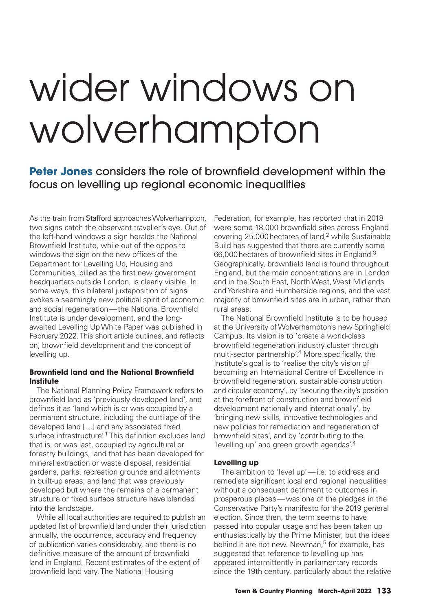# wider windows on wolverhampton

**Peter Jones** considers the role of brownfield development within the focus on levelling up regional economic inequalities

As the train from Stafford approaches Wolverhampton, two signs catch the observant traveller's eye. Out of the left-hand windows a sign heralds the National Brownfield Institute, while out of the opposite windows the sign on the new offices of the Department for Levelling Up, Housing and Communities, billed as the first new government headquarters outside London, is clearly visible. In some ways, this bilateral juxtaposition of signs evokes a seemingly new political spirit of economic and social regeneration — the National Brownfield Institute is under development, and the longawaited Levelling Up White Paper was published in February 2022. This short article outlines, and reflects on, brownfield development and the concept of levelling up.

## **Brownfield land and the National Brownfield Institute**

The National Planning Policy Framework refers to brownfield land as 'previously developed land', and defines it as 'land which is or was occupied by a permanent structure, including the curtilage of the developed land [...] and any associated fixed surface infrastructure'.<sup>1</sup> This definition excludes land that is, or was last, occupied by agricultural or forestry buildings, land that has been developed for mineral extraction or waste disposal, residential gardens, parks, recreation grounds and allotments in built-up areas, and land that was previously developed but where the remains of a permanent structure or fixed surface structure have blended into the landscape.

While all local authorities are required to publish an updated list of brownfield land under their jurisdiction annually, the occurrence, accuracy and frequency of publication varies considerably, and there is no definitive measure of the amount of brownfield land in England. Recent estimates of the extent of brownfield land vary. The National Housing

Federation, for example, has reported that in 2018 were some 18,000 brownfield sites across England covering 25,000 hectares of land,<sup>2</sup> while Sustainable Build has suggested that there are currently some 66,000 hectares of brownfield sites in England.<sup>3</sup> Geographically, brownfield land is found throughout England, but the main concentrations are in London and in the South East, North West, West Midlands and Yorkshire and Humberside regions, and the vast majority of brownfield sites are in urban, rather than rural areas.

The National Brownfield Institute is to be housed at the University of Wolverhampton's new Springfield Campus. Its vision is to 'create a world-class brownfield regeneration industry cluster through multi-sector partnership'.<sup>4</sup> More specifically, the Institute's goal is to 'realise the city's vision of becoming an International Centre of Excellence in brownfield regeneration, sustainable construction and circular economy', by 'securing the city's position at the forefront of construction and brownfield development nationally and internationally', by 'bringing new skills, innovative technologies and new policies for remediation and regeneration of brownfield sites', and by 'contributing to the 'levelling up' and green growth agendas'.4

## **Levelling up**

The ambition to 'level up'-i.e. to address and remediate significant local and regional inequalities without a consequent detriment to outcomes in prosperous places — was one of the pledges in the Conservative Party's manifesto for the 2019 general election. Since then, the term seems to have passed into popular usage and has been taken up enthusiastically by the Prime Minister, but the ideas behind it are not new. Newman,<sup>5</sup> for example, has suggested that reference to levelling up has appeared intermittently in parliamentary records since the 19th century, particularly about the relative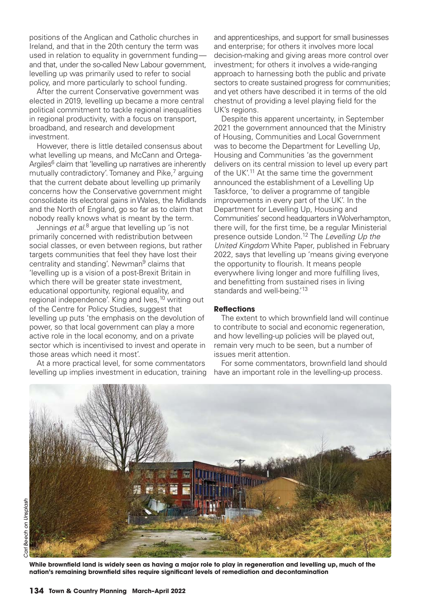positions of the Anglican and Catholic churches in Ireland, and that in the 20th century the term was used in relation to equality in government fundingand that, under the so-called New Labour government. levelling up was primarily used to refer to social policy, and more particularly to school funding.

 After the current Conservative government was elected in 2019, levelling up became a more central political commitment to tackle regional inequalities in regional productivity, with a focus on transport, broadband, and research and development investment.

 However, there is little detailed consensus about what levelling up means, and McCann and Ortega-Argiles<sup>6</sup> claim that 'levelling up narratives are inherently mutually contradictory'. Tomaney and Pike,<sup>7</sup> arguing that the current debate about levelling up primarily concerns how the Conservative government might consolidate its electoral gains in Wales, the Midlands and the North of England, go so far as to claim that nobody really knows what is meant by the term.

 Jennings *et al*. 8 argue that levelling up 'is not primarily concerned with redistribution between social classes, or even between regions, but rather targets communities that feel they have lost their centrality and standing'. Newman<sup>9</sup> claims that 'levelling up is a vision of a post-Brexit Britain in which there will be greater state investment, educational opportunity, regional equality, and regional independence'. King and Ives,<sup>10</sup> writing out of the Centre for Policy Studies, suggest that levelling up puts 'the emphasis on the devolution of power, so that local government can play a more active role in the local economy, and on a private sector which is incentivised to invest and operate in those areas which need it most'.

 At a more practical level, for some commentators levelling up implies investment in education, training and apprenticeships, and support for small businesses and enterprise; for others it involves more local decision-making and giving areas more control over investment; for others it involves a wide-ranging approach to harnessing both the public and private sectors to create sustained progress for communities; and yet others have described it in terms of the old chestnut of providing a level playing field for the UK's regions.

 Despite this apparent uncertainty, in September 2021 the government announced that the Ministry of Housing, Communities and Local Government was to become the Department for Levelling Up, Housing and Communities 'as the government delivers on its central mission to level up every part of the UK'.<sup>11</sup> At the same time the government announced the establishment of a Levelling Up Taskforce, 'to deliver a programme of tangible improvements in every part of the UK'. In the Department for Levelling Up, Housing and Communities' second headquarters in Wolverhampton, there will, for the first time, be a regular Ministerial presence outside London.12 The *Levelling Up the United Kingdom* White Paper, published in February 2022, says that levelling up 'means giving everyone the opportunity to flourish. It means people everywhere living longer and more fulfilling lives, and benefitting from sustained rises in living standards and well-being.<sup>'13</sup>

### **Refl ections**

The extent to which brownfield land will continue to contribute to social and economic regeneration, and how levelling-up policies will be played out, remain very much to be seen, but a number of issues merit attention.

For some commentators, brownfield land should have an important role in the levelling-up process.



While brownfield land is widely seen as having a major role to play in regeneration and levelling up, much of the nation's remaining brownfield sites require significant levels of remediation and decontamination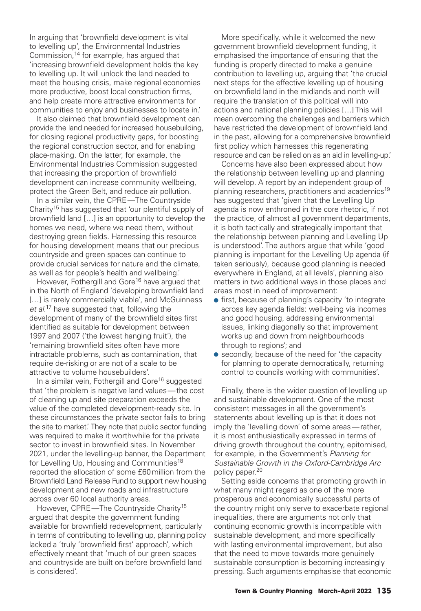In arguing that 'brownfield development is vital to levelling up', the Environmental Industries Commission,  $14$  for example, has argued that 'increasing brownfield development holds the key to levelling up. It will unlock the land needed to meet the housing crisis, make regional economies more productive, boost local construction firms, and help create more attractive environments for communities to enjoy and businesses to locate in.'

It also claimed that brownfield development can provide the land needed for increased housebuilding, for closing regional productivity gaps, for boosting the regional construction sector, and for enabling place-making. On the latter, for example, the Environmental Industries Commission suggested that increasing the proportion of brownfield development can increase community wellbeing, protect the Green Belt, and reduce air pollution.

 In a similar vein, the CPRE — The Countryside Charity15 has suggested that 'our plentiful supply of brownfield land [...] is an opportunity to develop the homes we need, where we need them, without destroying green fields. Harnessing this resource for housing development means that our precious countryside and green spaces can continue to provide crucial services for nature and the climate, as well as for people's health and wellbeing.'

However, Fothergill and Gore<sup>16</sup> have argued that in the North of England 'developing brownfield land [...] is rarely commercially viable', and McGuinness *et al*. 17 have suggested that, following the development of many of the brownfield sites first identified as suitable for development between 1997 and 2007 ('the lowest hanging fruit'), the 'remaining brownfield sites often have more intractable problems, such as contamination, that require de-risking or are not of a scale to be attractive to volume housebuilders'.

In a similar vein, Fothergill and Gore<sup>16</sup> suggested that 'the problem is negative land values — the cost of cleaning up and site preparation exceeds the value of the completed development-ready site. In these circumstances the private sector fails to bring the site to market.' They note that public sector funding was required to make it worthwhile for the private sector to invest in brownfield sites. In November 2021, under the levelling-up banner, the Department for Levelling Up, Housing and Communities<sup>18</sup> reported the allocation of some £60 million from the Brownfield Land Release Fund to support new housing development and new roads and infrastructure across over 60 local authority areas.

However, CPRE—The Countryside Charity<sup>15</sup> argued that despite the government funding available for brownfield redevelopment, particularly in terms of contributing to levelling up, planning policy lacked a 'truly 'brownfield first' approach', which effectively meant that 'much of our green spaces and countryside are built on before brownfield land is considered'.

More specifically, while it welcomed the new government brownfield development funding, it emphasised the importance of ensuring that the funding is properly directed to make a genuine contribution to levelling up, arguing that 'the crucial next steps for the effective levelling up of housing on brownfield land in the midlands and north will require the translation of this political will into actions and national planning policies […] This will mean overcoming the challenges and barriers which have restricted the development of brownfield land in the past, allowing for a comprehensive brownfield first policy which harnesses this regenerating resource and can be relied on as an aid in levelling-up.'

 Concerns have also been expressed about how the relationship between levelling up and planning will develop. A report by an independent group of planning researchers, practitioners and academics<sup>19</sup> has suggested that 'given that the Levelling Up agenda is now enthroned in the core rhetoric, if not the practice, of almost all government departments, it is both tactically and strategically important that the relationship between planning and Levelling Up is understood'. The authors argue that while 'good planning is important for the Levelling Up agenda (if taken seriously), because good planning is needed everywhere in England, at all levels', planning also matters in two additional ways in those places and areas most in need of improvement:

- first, because of planning's capacity 'to integrate across key agenda fields: well-being via incomes and good housing, addressing environmental issues, linking diagonally so that improvement works up and down from neighbourhoods through to regions'; and
- secondly, because of the need for 'the capacity' for planning to operate democratically, returning control to councils working with communities'.

 Finally, there is the wider question of levelling up and sustainable development. One of the most consistent messages in all the government's statements about levelling up is that it does not imply the 'levelling down' of some areas — rather, it is most enthusiastically expressed in terms of driving growth throughout the country, epitomised, for example, in the Government's *Planning for Sustainable Growth in the Oxford-Cambridge Arc* policy paper.<sup>20</sup>

 Setting aside concerns that promoting growth in what many might regard as one of the more prosperous and economically successful parts of the country might only serve to exacerbate regional inequalities, there are arguments not only that continuing economic growth is incompatible with sustainable development, and more specifically with lasting environmental improvement, but also that the need to move towards more genuinely sustainable consumption is becoming increasingly pressing. Such arguments emphasise that economic